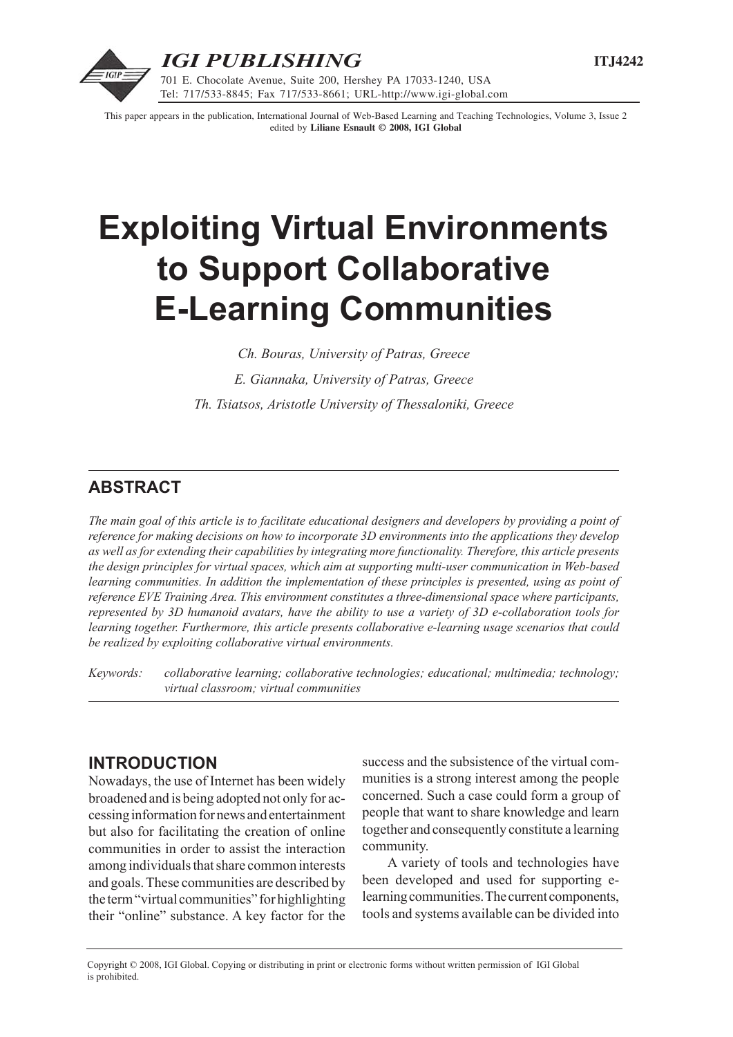

This paper appears in the publication, International Journal of Web-Based Learning and Teaching Technologies, Volume 3, Issue 2 edited by **Liliane Esnault © 2008, IGI Global**

# **Exploiting Virtual Environments to support Collaborative e-learning Communities**

*Ch. Bouras, University of Patras, Greece E. Giannaka, University of Patras, Greece Th. Tsiatsos, Aristotle University of Thessaloniki, Greece*

# **abstraCt**

*The main goal of this article is to facilitate educational designers and developers by providing a point of reference for making decisions on how to incorporate 3D environments into the applications they develop as well as for extending their capabilities by integrating more functionality. Therefore, this article presents the design principles for virtual spaces, which aim at supporting multi-user communication in Web-based learning communities. In addition the implementation of these principles is presented, using as point of reference EVE Training Area. This environment constitutes a three-dimensional space where participants, represented by 3D humanoid avatars, have the ability to use a variety of 3D e-collaboration tools for learning together. Furthermore, this article presents collaborative e-learning usage scenarios that could be realized by exploiting collaborative virtual environments.* 

*Keywords: collaborative learning; collaborative technologies; educational; multimedia; technology; virtual classroom; virtual communities*

# **IntroduCtIon**

Nowadays, the use of Internet has been widely broadened and is being adopted not only for accessing information for news and entertainment but also for facilitating the creation of online communities in order to assist the interaction among individuals that share common interests and goals. These communities are described by the term "virtual communities" for highlighting their "online" substance. A key factor for the success and the subsistence of the virtual communities is a strong interest among the people concerned. Such a case could form a group of people that want to share knowledge and learn together and consequently constitute a learning community.

A variety of tools and technologies have been developed and used for supporting elearning communities. The current components, tools and systems available can be divided into

Copyright © 2008, IGI Global. Copying or distributing in print or electronic forms without written permission of IGI Global is prohibited.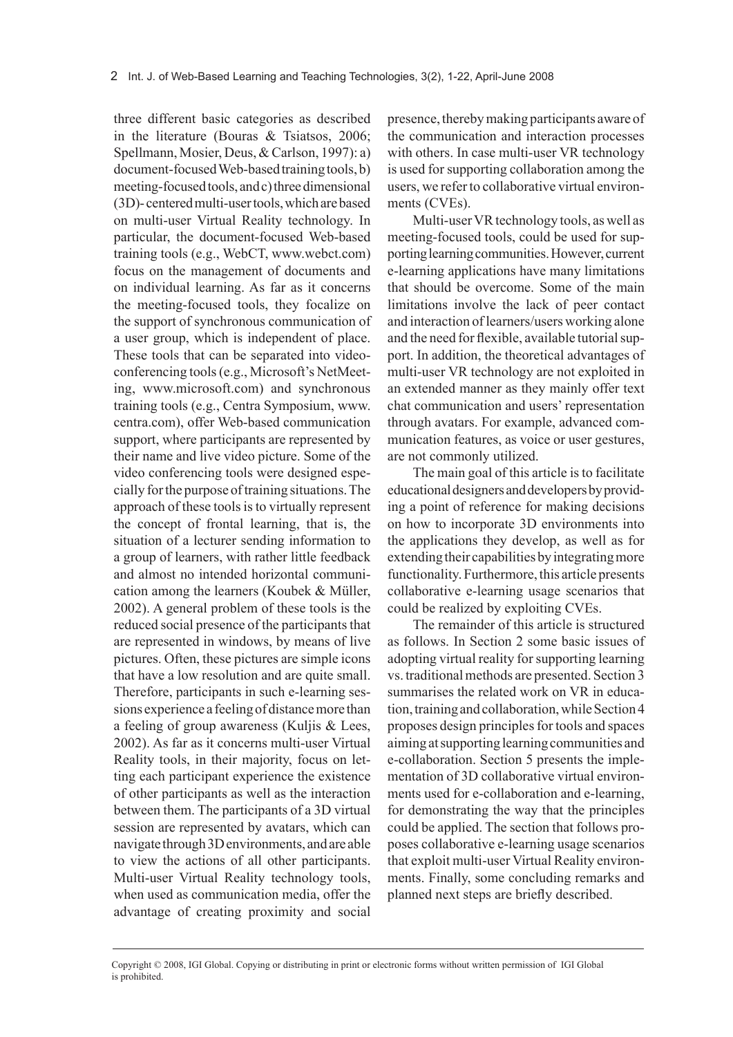three different basic categories as described in the literature (Bouras & Tsiatsos, 2006; Spellmann, Mosier, Deus, & Carlson, 1997): a) document-focused Web-based training tools, b) meeting-focused tools, and c) three dimensional (3D)- centered multi-user tools, which are based on multi-user Virtual Reality technology. In particular, the document-focused Web-based training tools (e.g., WebCT, www.webct.com) focus on the management of documents and on individual learning. As far as it concerns the meeting-focused tools, they focalize on the support of synchronous communication of a user group, which is independent of place. These tools that can be separated into videoconferencing tools (e.g., Microsoft's NetMeeting, www.microsoft.com) and synchronous training tools (e.g., Centra Symposium, www. centra.com), offer Web-based communication support, where participants are represented by their name and live video picture. Some of the video conferencing tools were designed especially for the purpose of training situations. The approach of these tools is to virtually represent the concept of frontal learning, that is, the situation of a lecturer sending information to a group of learners, with rather little feedback and almost no intended horizontal communication among the learners (Koubek & Müller, 2002). A general problem of these tools is the reduced social presence of the participants that are represented in windows, by means of live pictures. Often, these pictures are simple icons that have a low resolution and are quite small. Therefore, participants in such e-learning sessions experience a feeling of distance more than a feeling of group awareness (Kuljis & Lees, 2002). As far as it concerns multi-user Virtual Reality tools, in their majority, focus on letting each participant experience the existence of other participants as well as the interaction between them. The participants of a 3D virtual session are represented by avatars, which can navigate through 3D environments, and are able to view the actions of all other participants. Multi-user Virtual Reality technology tools, when used as communication media, offer the advantage of creating proximity and social

presence, thereby making participants aware of the communication and interaction processes with others. In case multi-user VR technology is used for supporting collaboration among the users, we refer to collaborative virtual environments (CVEs).

Multi-user VR technology tools, as well as meeting-focused tools, could be used for supporting learning communities. However, current e-learning applications have many limitations that should be overcome. Some of the main limitations involve the lack of peer contact and interaction of learners/users working alone and the need for flexible, available tutorial support. In addition, the theoretical advantages of multi-user VR technology are not exploited in an extended manner as they mainly offer text chat communication and users' representation through avatars. For example, advanced communication features, as voice or user gestures, are not commonly utilized.

The main goal of this article is to facilitate educational designers and developers by providing a point of reference for making decisions on how to incorporate 3D environments into the applications they develop, as well as for extending their capabilities by integrating more functionality. Furthermore, this article presents collaborative e-learning usage scenarios that could be realized by exploiting CVEs.

The remainder of this article is structured as follows. In Section 2 some basic issues of adopting virtual reality for supporting learning vs. traditional methods are presented. Section 3 summarises the related work on VR in education, training and collaboration, while Section 4 proposes design principles for tools and spaces aiming at supporting learning communities and e-collaboration. Section 5 presents the implementation of 3D collaborative virtual environments used for e-collaboration and e-learning, for demonstrating the way that the principles could be applied. The section that follows proposes collaborative e-learning usage scenarios that exploit multi-user Virtual Reality environments. Finally, some concluding remarks and planned next steps are briefly described.

Copyright © 2008, IGI Global. Copying or distributing in print or electronic forms without written permission of IGI Global is prohibited.